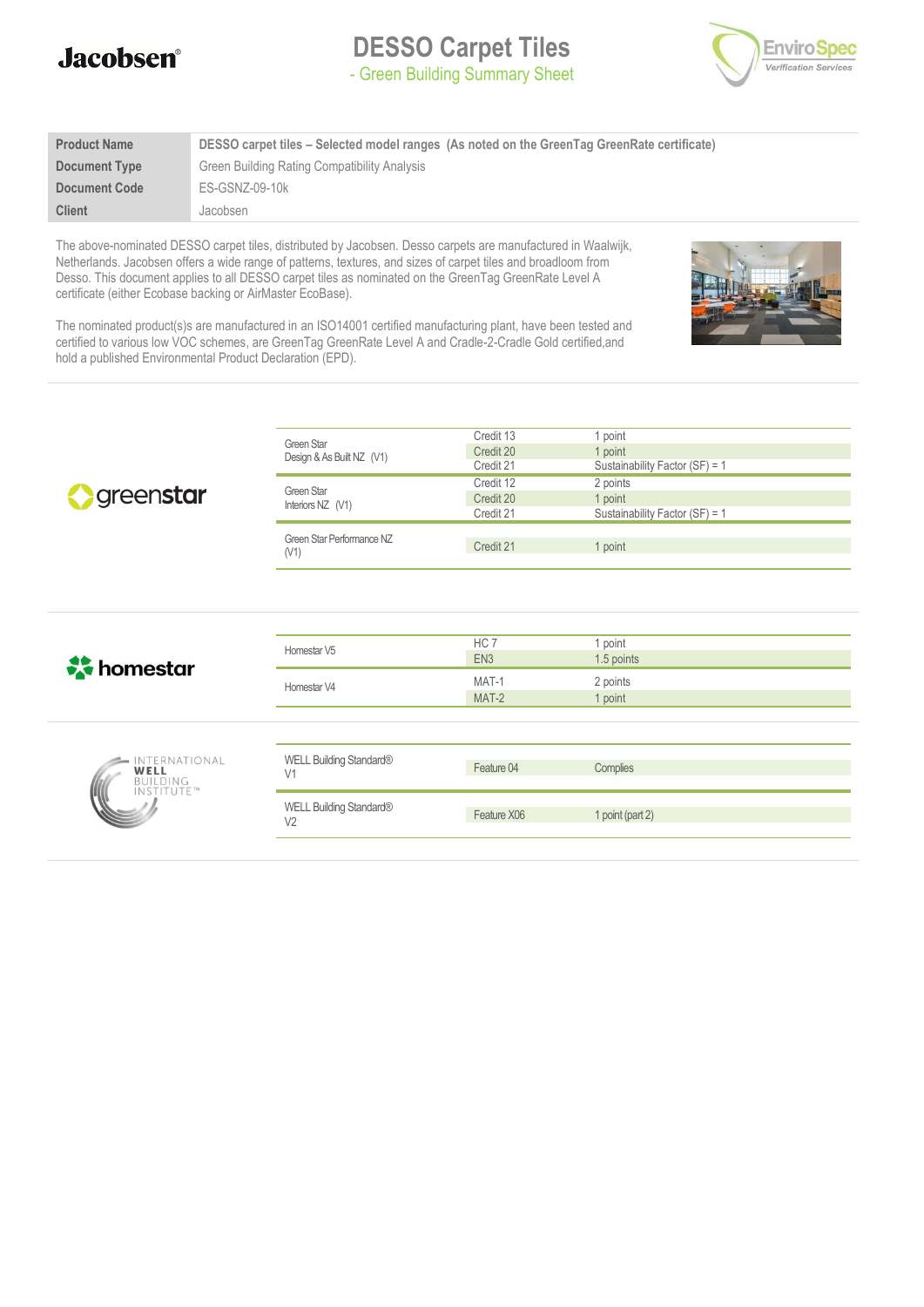

**DESSO Carpet Tiles** - Green Building Summary Sheet



| <b>Product Name</b>  | DESSO carpet tiles – Selected model ranges (As noted on the GreenTag GreenRate certificate) |
|----------------------|---------------------------------------------------------------------------------------------|
| Document Type        | Green Building Rating Compatibility Analysis                                                |
| <b>Document Code</b> | ES-GSNZ-09-10k                                                                              |
| <b>Client</b>        | Jacobsen                                                                                    |

The above-nominated DESSO carpet tiles, distributed by Jacobsen. Desso carpets are manufactured in Waalwijk, Netherlands. Jacobsen offers a wide range of patterns, textures, and sizes of carpet tiles and broadloom from Desso. This document applies to all DESSO carpet tiles as nominated on the GreenTag GreenRate Level A certificate (either Ecobase backing or AirMaster EcoBase).



The nominated product(s)s are manufactured in an ISO14001 certified manufacturing plant, have been tested and certified to various low VOC schemes, are GreenTag GreenRate Level A and Cradle-2-Cradle Gold certified,and hold a published Environmental Product Declaration (EPD).

| Sycienstar                                             | <b>Green Star</b><br>Design & As Built NZ (V1)<br>Green Star<br>Interiors NZ (V1) | Credit 13<br>Credit 20<br>Credit 21<br>Credit 12<br>Credit 20<br>Credit 21 | 1 point<br>1 point<br>Sustainability Factor (SF) = 1<br>2 points<br>1 point<br>Sustainability Factor (SF) = 1 |
|--------------------------------------------------------|-----------------------------------------------------------------------------------|----------------------------------------------------------------------------|---------------------------------------------------------------------------------------------------------------|
|                                                        | Green Star Performance NZ<br>(V1)                                                 | Credit 21                                                                  | 1 point                                                                                                       |
|                                                        |                                                                                   |                                                                            |                                                                                                               |
| <b>A</b> homestar                                      | Homestar V5                                                                       | HC 7<br>EN <sub>3</sub>                                                    | 1 point<br>1.5 points                                                                                         |
|                                                        | Homestar V4                                                                       | MAT-1<br>MAT-2                                                             | 2 points<br>1 point                                                                                           |
|                                                        |                                                                                   |                                                                            |                                                                                                               |
| INTERNATIONAL<br>WELL<br><b>BUILDING</b><br>INSTITUTE™ | WELL Building Standard®<br>V1                                                     | Feature 04                                                                 | Complies                                                                                                      |
|                                                        | WELL Building Standard®<br>V <sub>2</sub>                                         | Feature X06                                                                | 1 point (part 2)                                                                                              |
|                                                        |                                                                                   |                                                                            |                                                                                                               |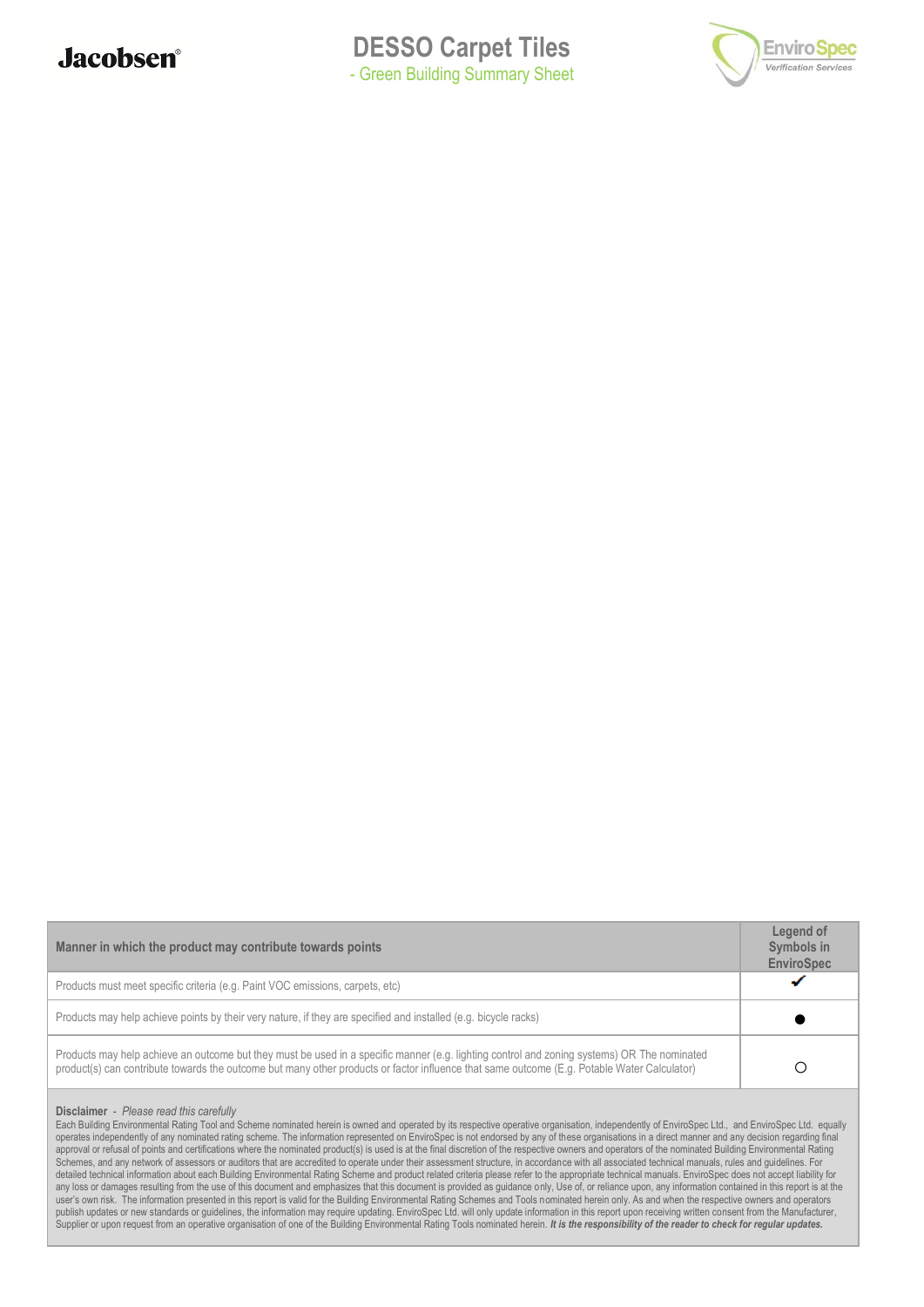



| Manner in which the product may contribute towards points                                                                                                                                                                                                                                  |  |  |  |  |
|--------------------------------------------------------------------------------------------------------------------------------------------------------------------------------------------------------------------------------------------------------------------------------------------|--|--|--|--|
| Products must meet specific criteria (e.g. Paint VOC emissions, carpets, etc)                                                                                                                                                                                                              |  |  |  |  |
| Products may help achieve points by their very nature, if they are specified and installed (e.g. bicycle racks)                                                                                                                                                                            |  |  |  |  |
| Products may help achieve an outcome but they must be used in a specific manner (e.g. lighting control and zoning systems) OR The nominated<br>product(s) can contribute towards the outcome but many other products or factor influence that same outcome (E.g. Potable Water Calculator) |  |  |  |  |

#### **Disclaimer** - *Please read this carefully*

Each Building Environmental Rating Tool and Scheme nominated herein is owned and operated by its respective operative organisation, independently of EnviroSpec Ltd., and EnviroSpec Ltd. equally operates independently of any nominated rating scheme. The information represented on EnviroSpec is not endorsed by any of these organisations in a direct manner and any decision regarding final approval or refusal of points and certifications where the nominated product(s) is used is at the final discretion of the respective owners and operators of the nominated Building Environmental Rating Schemes, and any network of assessors or auditors that are accredited to operate under their assessment structure, in accordance with all associated technical manuals, rules and guidelines. For detailed technical information about each Building Environmental Rating Scheme and product related criteria please refer to the appropriate technical manuals. EnviroSpec does not accept liability for any loss or damages resulting from the use of this document and emphasizes that this document is provided as guidance only, Use of, or reliance upon, any information contained in this report is at the user's own risk. The information presented in this report is valid for the Building Environmental Rating Schemes and Tools nominated herein only. As and when the respective owners and operators publish updates or new standards or guidelines, the information may require updating. EnviroSpec Ltd. will only update information in this report upon receiving written consent from the Manufacturer, Supplier or upon request from an operative organisation of one of the Building Environmental Rating Tools nominated herein. It is the responsibility of the reader to check for regular updates.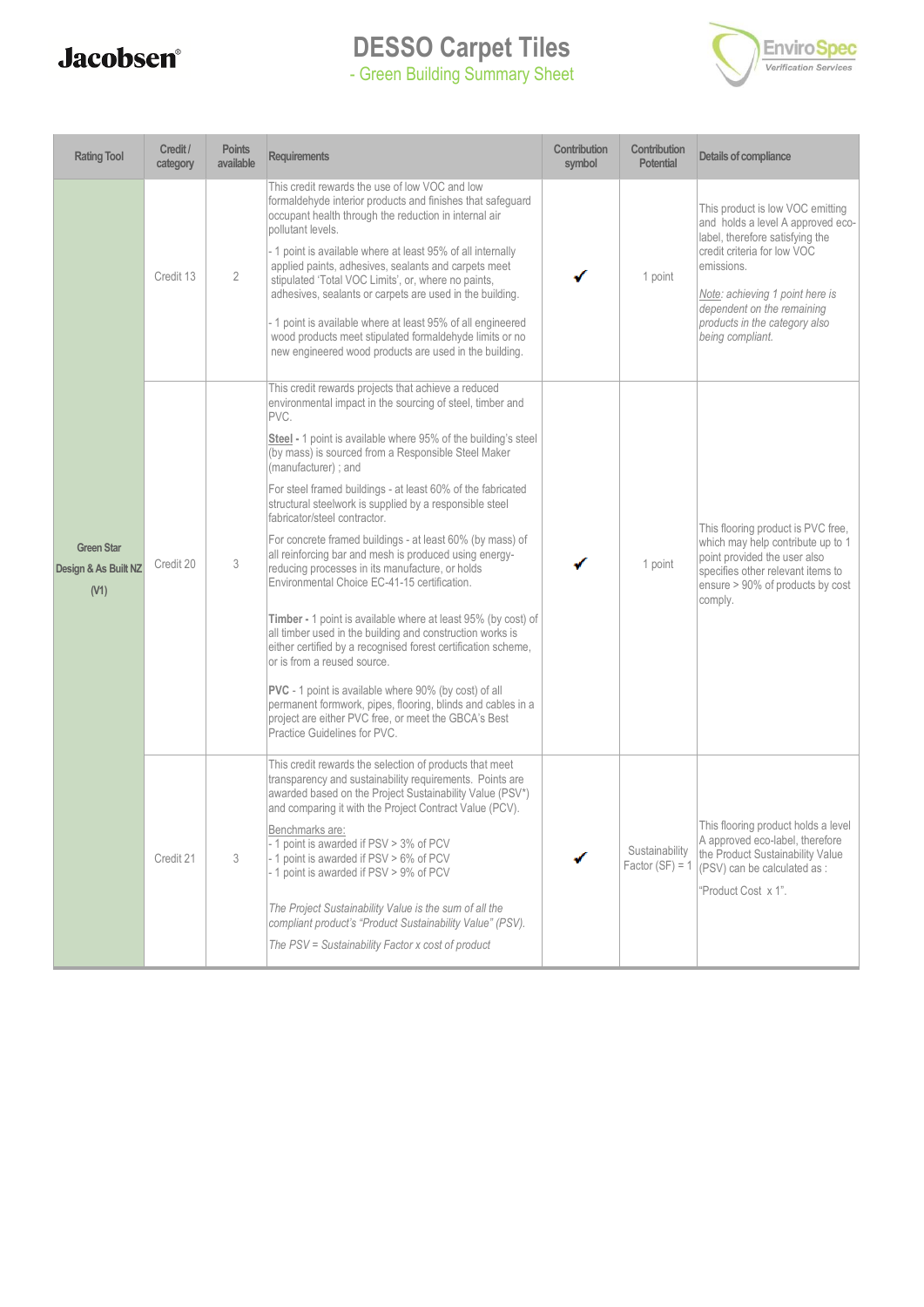# **Jacobsen**<sup>®</sup>

### **DESSO Carpet Tiles** - Green Building Summary Sheet



| <b>Rating Tool</b>                                | Credit /<br>category | <b>Points</b><br>available | Requirements                                                                                                                                                                                                                                                                                                                                                                                                                                                                                                                                                                                                                                                                                                                                                                                                                                                                                                                                                                                                                                                                                                             | Contribution<br>symbol | Contribution<br><b>Potential</b>    | Details of compliance                                                                                                                                                                                                                                                       |
|---------------------------------------------------|----------------------|----------------------------|--------------------------------------------------------------------------------------------------------------------------------------------------------------------------------------------------------------------------------------------------------------------------------------------------------------------------------------------------------------------------------------------------------------------------------------------------------------------------------------------------------------------------------------------------------------------------------------------------------------------------------------------------------------------------------------------------------------------------------------------------------------------------------------------------------------------------------------------------------------------------------------------------------------------------------------------------------------------------------------------------------------------------------------------------------------------------------------------------------------------------|------------------------|-------------------------------------|-----------------------------------------------------------------------------------------------------------------------------------------------------------------------------------------------------------------------------------------------------------------------------|
|                                                   | Credit 13            | $\overline{2}$             | This credit rewards the use of low VOC and low<br>formaldehyde interior products and finishes that safeguard<br>occupant health through the reduction in internal air<br>pollutant levels.<br>- 1 point is available where at least 95% of all internally<br>applied paints, adhesives, sealants and carpets meet<br>stipulated 'Total VOC Limits', or, where no paints,<br>adhesives, sealants or carpets are used in the building.<br>- 1 point is available where at least 95% of all engineered<br>wood products meet stipulated formaldehyde limits or no<br>new engineered wood products are used in the building.                                                                                                                                                                                                                                                                                                                                                                                                                                                                                                 |                        | 1 point                             | This product is low VOC emitting<br>and holds a level A approved eco-<br>label, therefore satisfying the<br>credit criteria for low VOC<br>emissions.<br>Note: achieving 1 point here is<br>dependent on the remaining<br>products in the category also<br>being compliant. |
| <b>Green Star</b><br>Design & As Built NZ<br>(V1) | Credit 20            | 3                          | This credit rewards projects that achieve a reduced<br>environmental impact in the sourcing of steel, timber and<br>PVC.<br><b>Steel</b> - 1 point is available where 95% of the building's steel<br>(by mass) is sourced from a Responsible Steel Maker<br>(manufacturer); and<br>For steel framed buildings - at least 60% of the fabricated<br>structural steelwork is supplied by a responsible steel<br>fabricator/steel contractor.<br>For concrete framed buildings - at least 60% (by mass) of<br>all reinforcing bar and mesh is produced using energy-<br>reducing processes in its manufacture, or holds<br>Environmental Choice EC-41-15 certification.<br>Timber - 1 point is available where at least 95% (by cost) of<br>all timber used in the building and construction works is<br>either certified by a recognised forest certification scheme,<br>or is from a reused source.<br><b>PVC</b> - 1 point is available where 90% (by cost) of all<br>permanent formwork, pipes, flooring, blinds and cables in a<br>project are either PVC free, or meet the GBCA's Best<br>Practice Guidelines for PVC. |                        | 1 point                             | This flooring product is PVC free,<br>which may help contribute up to 1<br>point provided the user also<br>specifies other relevant items to<br>ensure > 90% of products by cost<br>comply.                                                                                 |
|                                                   | Credit 21            | 3                          | This credit rewards the selection of products that meet<br>transparency and sustainability requirements. Points are<br>awarded based on the Project Sustainability Value (PSV*)<br>and comparing it with the Project Contract Value (PCV).<br>Benchmarks are:<br>- 1 point is awarded if PSV > 3% of PCV<br>- 1 point is awarded if PSV > 6% of PCV<br>- 1 point is awarded if PSV > 9% of PCV<br>The Project Sustainability Value is the sum of all the<br>compliant product's "Product Sustainability Value" (PSV).<br>The PSV = Sustainability Factor x cost of product                                                                                                                                                                                                                                                                                                                                                                                                                                                                                                                                               |                        | Sustainability<br>Factor $(SF) = 1$ | This flooring product holds a level<br>A approved eco-label, therefore<br>the Product Sustainability Value<br>(PSV) can be calculated as:<br>"Product Cost x 1".                                                                                                            |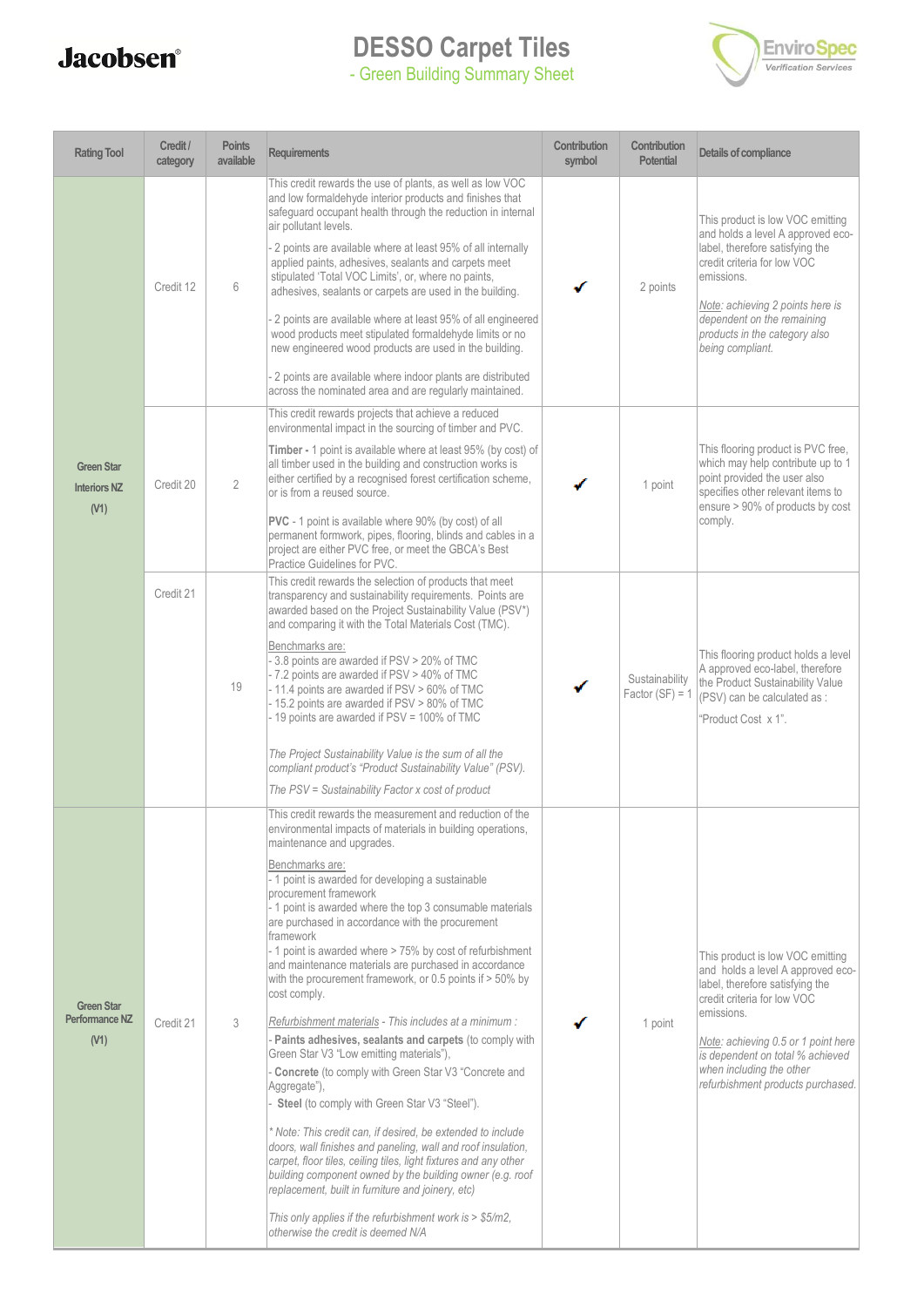# **Jacobsen**<sup>®</sup>

### **DESSO Carpet Tiles** - Green Building Summary Sheet



| <b>Rating Tool</b>                               | Credit /<br>category | <b>Points</b><br>available | <b>Requirements</b>                                                                                                                                                                                                                                                                                                                                                                                                                                                                                                                                                                                                                                                                                                                                                                                                                                                                                                                                                                                                                                                                                                                                                                                                                                                                                     | Contribution<br>symbol | Contribution<br><b>Potential</b>    | Details of compliance                                                                                                                                                                                                                                                                             |
|--------------------------------------------------|----------------------|----------------------------|---------------------------------------------------------------------------------------------------------------------------------------------------------------------------------------------------------------------------------------------------------------------------------------------------------------------------------------------------------------------------------------------------------------------------------------------------------------------------------------------------------------------------------------------------------------------------------------------------------------------------------------------------------------------------------------------------------------------------------------------------------------------------------------------------------------------------------------------------------------------------------------------------------------------------------------------------------------------------------------------------------------------------------------------------------------------------------------------------------------------------------------------------------------------------------------------------------------------------------------------------------------------------------------------------------|------------------------|-------------------------------------|---------------------------------------------------------------------------------------------------------------------------------------------------------------------------------------------------------------------------------------------------------------------------------------------------|
|                                                  | Credit 12            | 6                          | This credit rewards the use of plants, as well as low VOC<br>and low formaldehyde interior products and finishes that<br>safeguard occupant health through the reduction in internal<br>air pollutant levels.<br>2 points are available where at least 95% of all internally<br>applied paints, adhesives, sealants and carpets meet<br>stipulated 'Total VOC Limits', or, where no paints,<br>adhesives, sealants or carpets are used in the building.<br>2 points are available where at least 95% of all engineered<br>wood products meet stipulated formaldehyde limits or no<br>new engineered wood products are used in the building.<br>2 points are available where indoor plants are distributed<br>across the nominated area and are regularly maintained.                                                                                                                                                                                                                                                                                                                                                                                                                                                                                                                                    |                        | 2 points                            | This product is low VOC emitting<br>and holds a level A approved eco-<br>label, therefore satisfying the<br>credit criteria for low VOC<br>emissions.<br>Note: achieving 2 points here is<br>dependent on the remaining<br>products in the category also<br>being compliant.                      |
| <b>Green Star</b><br><b>Interiors NZ</b><br>(V1) | Credit 20            | $\overline{2}$             | This credit rewards projects that achieve a reduced<br>environmental impact in the sourcing of timber and PVC.<br>Timber - 1 point is available where at least 95% (by cost) of<br>all timber used in the building and construction works is<br>either certified by a recognised forest certification scheme,<br>or is from a reused source.<br><b>PVC</b> - 1 point is available where 90% (by cost) of all<br>permanent formwork, pipes, flooring, blinds and cables in a<br>project are either PVC free, or meet the GBCA's Best<br>Practice Guidelines for PVC.                                                                                                                                                                                                                                                                                                                                                                                                                                                                                                                                                                                                                                                                                                                                     |                        | 1 point                             | This flooring product is PVC free,<br>which may help contribute up to 1<br>point provided the user also<br>specifies other relevant items to<br>ensure > 90% of products by cost<br>comply.                                                                                                       |
|                                                  | Credit 21            | 19                         | This credit rewards the selection of products that meet<br>transparency and sustainability requirements. Points are<br>awarded based on the Project Sustainability Value (PSV*)<br>and comparing it with the Total Materials Cost (TMC).<br>Benchmarks are:<br>- 3.8 points are awarded if PSV > 20% of TMC<br>- 7.2 points are awarded if PSV > 40% of TMC<br>- 11.4 points are awarded if PSV > 60% of TMC<br>- 15.2 points are awarded if PSV > 80% of TMC<br>- 19 points are awarded if PSV = 100% of TMC<br>The Project Sustainability Value is the sum of all the<br>compliant product's "Product Sustainability Value" (PSV).<br>The PSV = Sustainability Factor x cost of product                                                                                                                                                                                                                                                                                                                                                                                                                                                                                                                                                                                                               |                        | Sustainability<br>Factor $(SF) = 1$ | This flooring product holds a level<br>A approved eco-label, therefore<br>the Product Sustainability Value<br>(PSV) can be calculated as :<br>"Product Cost x 1".                                                                                                                                 |
| <b>Green Star</b><br>Performance NZ<br>(V1)      | Credit 21            | 3                          | This credit rewards the measurement and reduction of the<br>environmental impacts of materials in building operations,<br>maintenance and upgrades.<br>Benchmarks are:<br>- 1 point is awarded for developing a sustainable<br>procurement framework<br>- 1 point is awarded where the top 3 consumable materials<br>are purchased in accordance with the procurement<br>framework<br>- 1 point is awarded where > 75% by cost of refurbishment<br>and maintenance materials are purchased in accordance<br>with the procurement framework, or 0.5 points if > 50% by<br>cost comply.<br>Refurbishment materials - This includes at a minimum :<br>- Paints adhesives, sealants and carpets (to comply with<br>Green Star V3 "Low emitting materials"),<br>Concrete (to comply with Green Star V3 "Concrete and<br>Aggregate"),<br>Steel (to comply with Green Star V3 "Steel").<br>* Note: This credit can, if desired, be extended to include<br>doors, wall finishes and paneling, wall and roof insulation,<br>carpet, floor tiles, ceiling tiles, light fixtures and any other<br>building component owned by the building owner (e.g. roof<br>replacement, built in furniture and joinery, etc)<br>This only applies if the refurbishment work is > \$5/m2,<br>otherwise the credit is deemed N/A |                        | 1 point                             | This product is low VOC emitting<br>and holds a level A approved eco-<br>label, therefore satisfying the<br>credit criteria for low VOC<br>emissions.<br>Note: achieving 0.5 or 1 point here<br>is dependent on total % achieved<br>when including the other<br>refurbishment products purchased. |